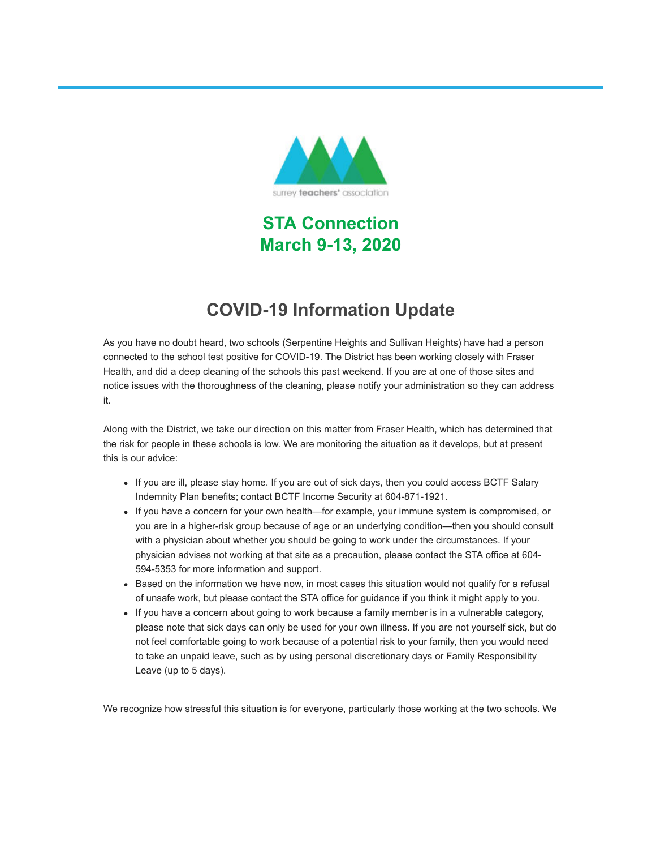

**STA Connection March 9-13, 2020**

## **COVID-19 Information Update**

As you have no doubt heard, two schools (Serpentine Heights and Sullivan Heights) have had a person connected to the school test positive for COVID-19. The District has been working closely with Fraser Health, and did a deep cleaning of the schools this past weekend. If you are at one of those sites and notice issues with the thoroughness of the cleaning, please notify your administration so they can address it.

Along with the District, we take our direction on this matter from Fraser Health, which has determined that the risk for people in these schools is low. We are monitoring the situation as it develops, but at present this is our advice:

- If you are ill, please stay home. If you are out of sick days, then you could access BCTF Salary Indemnity Plan benefits; contact BCTF Income Security at 604-871-1921.
- If you have a concern for your own health—for example, your immune system is compromised, or you are in a higher-risk group because of age or an underlying condition—then you should consult with a physician about whether you should be going to work under the circumstances. If your physician advises not working at that site as a precaution, please contact the STA office at 604- 594-5353 for more information and support.
- Based on the information we have now, in most cases this situation would not qualify for a refusal of unsafe work, but please contact the STA office for guidance if you think it might apply to you.
- If you have a concern about going to work because a family member is in a vulnerable category, please note that sick days can only be used for your own illness. If you are not yourself sick, but do not feel comfortable going to work because of a potential risk to your family, then you would need to take an unpaid leave, such as by using personal discretionary days or Family Responsibility Leave (up to 5 days).

We recognize how stressful this situation is for everyone, particularly those working at the two schools. We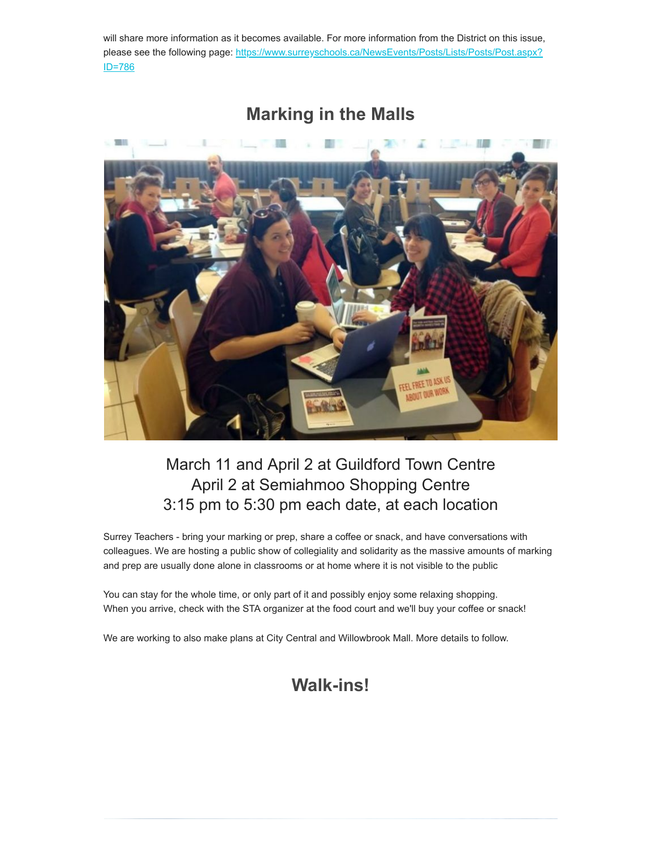will share more information as it becomes available. For more information from the District on this issue, [please see the following page: https://www.surreyschools.ca/NewsEvents/Posts/Lists/Posts/Post.aspx?](https://surreyteachers.us20.list-manage.com/track/click?u=37ec644ae87e34b54b3912660&id=6fb410d7e5&e=7261da6bdb) ID=786



### **Marking in the Malls**

#### March 11 and April 2 at Guildford Town Centre April 2 at Semiahmoo Shopping Centre 3:15 pm to 5:30 pm each date, at each location

Surrey Teachers - bring your marking or prep, share a coffee or snack, and have conversations with colleagues. We are hosting a public show of collegiality and solidarity as the massive amounts of marking and prep are usually done alone in classrooms or at home where it is not visible to the public

You can stay for the whole time, or only part of it and possibly enjoy some relaxing shopping. When you arrive, check with the STA organizer at the food court and we'll buy your coffee or snack!

We are working to also make plans at City Central and Willowbrook Mall. More details to follow.

#### **Walk-ins!**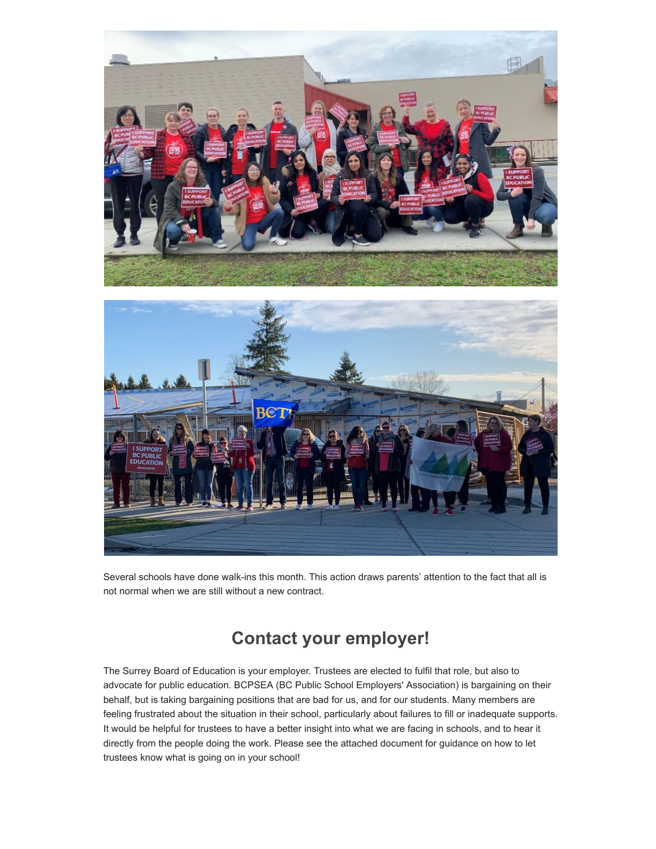

Several schools have done walk-ins this month. This action draws parents' attention to the fact that all is not normal when we are still without a new contract.

## **Contact your employer!**

The Surrey Board of Education is your employer. Trustees are elected to fulfil that role, but also to advocate for public education. BCPSEA (BC Public School Employers' Association) is bargaining on their behalf, but is taking bargaining positions that are bad for us, and for our students. Many members are feeling frustrated about the situation in their school, particularly about failures to fill or inadequate supports. It would be helpful for trustees to have a better insight into what we are facing in schools, and to hear it directly from the people doing the work. Please see the attached document for guidance on how to let trustees know what is going on in your school!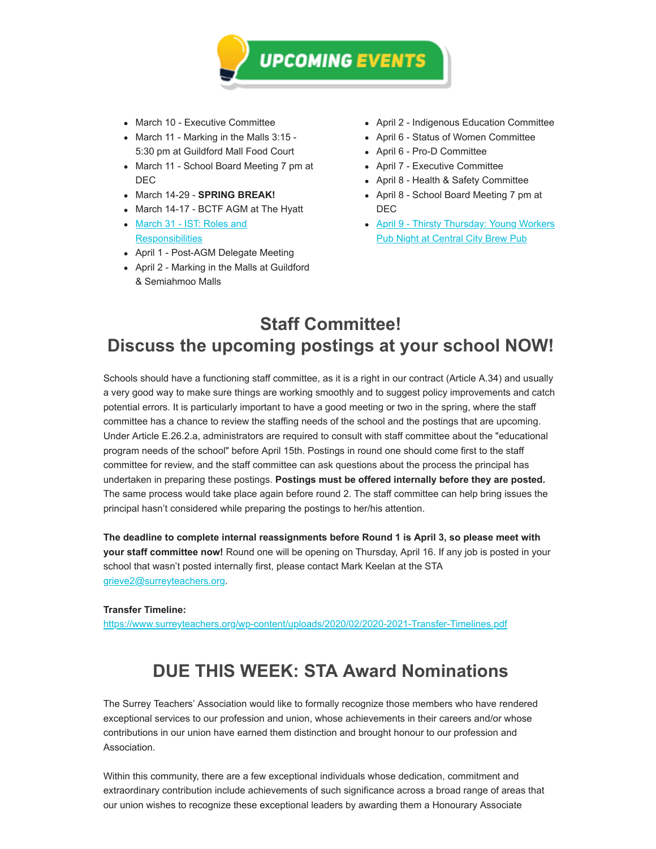

- March 10 Executive Committee
- March 11 Marking in the Malls 3:15 -5:30 pm at Guildford Mall Food Court
- March 11 School Board Meeting 7 pm at DEC
- March 14-29 **SPRING BREAK!**
- March 14-17 BCTF AGM at The Hyatt
- [March 31 IST: Roles and](https://surreyteachers.us20.list-manage.com/track/click?u=37ec644ae87e34b54b3912660&id=06797a1acd&e=7261da6bdb) **Responsibilities**
- April 1 Post-AGM Delegate Meeting
- April 2 Marking in the Malls at Guildford & Semiahmoo Malls
- April 2 Indigenous Education Committee
- April 6 Status of Women Committee
- April 6 Pro-D Committee
- April 7 Executive Committee
- April 8 Health & Safety Committee
- April 8 School Board Meeting 7 pm at DEC
- [April 9 Thirsty Thursday: Young Workers](https://surreyteachers.us20.list-manage.com/track/click?u=37ec644ae87e34b54b3912660&id=42ba8c774a&e=7261da6bdb) **Pub Night at Central City Brew Pub**

#### **Staff Committee! Discuss the upcoming postings at your school NOW!**

Schools should have a functioning staff committee, as it is a right in our contract (Article A.34) and usually a very good way to make sure things are working smoothly and to suggest policy improvements and catch potential errors. It is particularly important to have a good meeting or two in the spring, where the staff committee has a chance to review the staffing needs of the school and the postings that are upcoming. Under Article E.26.2.a, administrators are required to consult with staff committee about the "educational program needs of the school" before April 15th. Postings in round one should come first to the staff committee for review, and the staff committee can ask questions about the process the principal has undertaken in preparing these postings. **Postings must be offered internally before they are posted.** The same process would take place again before round 2. The staff committee can help bring issues the principal hasn't considered while preparing the postings to her/his attention.

**The deadline to complete internal reassignments before Round 1 is April 3, so please meet with your staff committee now!** Round one will be opening on Thursday, April 16. If any job is posted in your school that wasn't posted internally first, please contact Mark Keelan at the STA [grieve2@surreyteachers.org](mailto:grieve2@surreyteachers.org).

#### **Transfer Timeline:**

[https://www.surreyteachers.org/wp-content/uploads/2020/02/2020-2021-Transfer-Timelines.pdf](https://surreyteachers.us20.list-manage.com/track/click?u=37ec644ae87e34b54b3912660&id=89b20a1080&e=7261da6bdb)

## **DUE THIS WEEK: STA Award Nominations**

The Surrey Teachers' Association would like to formally recognize those members who have rendered exceptional services to our profession and union, whose achievements in their careers and/or whose contributions in our union have earned them distinction and brought honour to our profession and Association.

Within this community, there are a few exceptional individuals whose dedication, commitment and extraordinary contribution include achievements of such significance across a broad range of areas that our union wishes to recognize these exceptional leaders by awarding them a Honourary Associate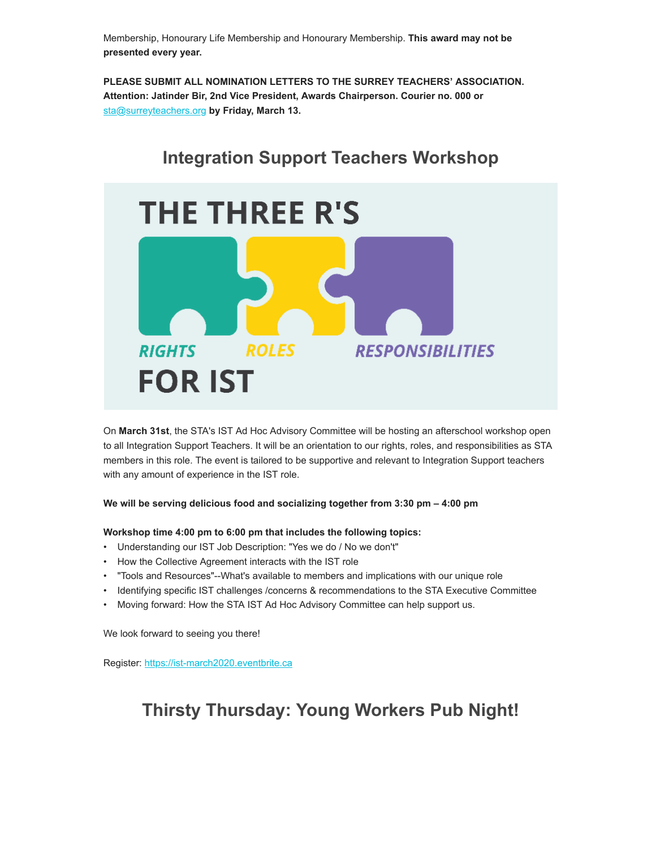Membership, Honourary Life Membership and Honourary Membership. **This award may not be presented every year.** 

**PLEASE SUBMIT ALL NOMINATION LETTERS TO THE SURREY TEACHERS' ASSOCIATION. Attention: Jatinder Bir, 2nd Vice President, Awards Chairperson. Courier no. 000 or** [sta@surreyteachers.org](mailto:sta@surreyteachers.org) **by Friday, March 13.**



On **March 31st**, the STA's IST Ad Hoc Advisory Committee will be hosting an afterschool workshop open to all Integration Support Teachers. It will be an orientation to our rights, roles, and responsibilities as STA members in this role. The event is tailored to be supportive and relevant to Integration Support teachers with any amount of experience in the IST role.

#### **We will be serving delicious food and socializing together from 3:30 pm – 4:00 pm**

**Workshop time 4:00 pm to 6:00 pm that includes the following topics:**

- Understanding our IST Job Description: "Yes we do / No we don't"
- How the Collective Agreement interacts with the IST role
- "Tools and Resources"--What's available to members and implications with our unique role
- Identifying specific IST challenges /concerns & recommendations to the STA Executive Committee
- Moving forward: How the STA IST Ad Hoc Advisory Committee can help support us.

We look forward to seeing you there!

Register: [https://ist-march2020.eventbrite.ca](https://surreyteachers.us20.list-manage.com/track/click?u=37ec644ae87e34b54b3912660&id=e325d45862&e=7261da6bdb)

## **Thirsty Thursday: Young Workers Pub Night!**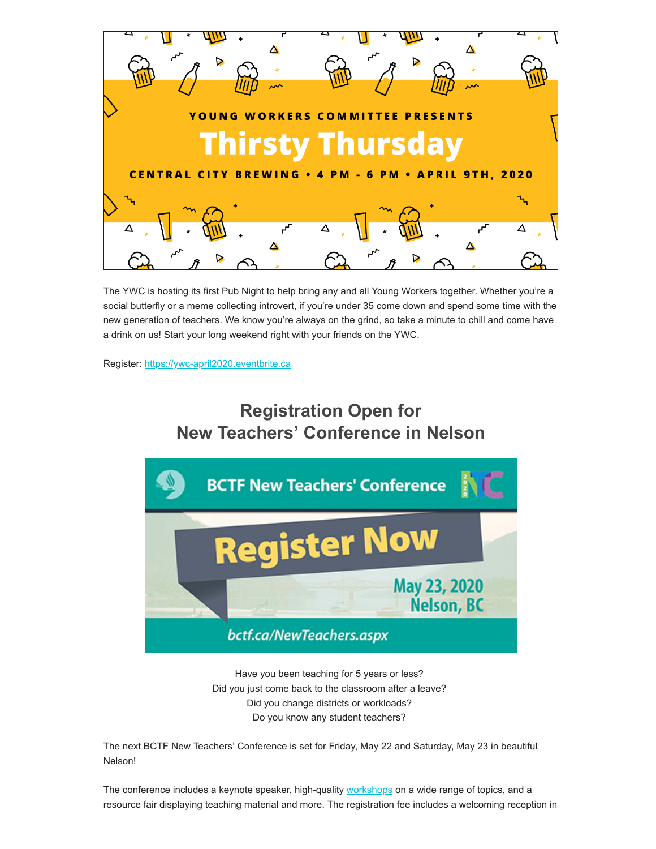

The YWC is hosting its first Pub Night to help bring any and all Young Workers together. Whether you're a social butterfly or a meme collecting introvert, if you're under 35 come down and spend some time with the new generation of teachers. We know you're always on the grind, so take a minute to chill and come have a drink on us! Start your long weekend right with your friends on the YWC.

Register: [https://ywc-april2020.eventbrite.ca](https://surreyteachers.us20.list-manage.com/track/click?u=37ec644ae87e34b54b3912660&id=7f2537ab5a&e=7261da6bdb)

## **Registration Open for New Teachers' Conference in Nelson**



Have you been teaching for 5 years or less? Did you just come back to the classroom after a leave? Did you change districts or workloads? Do you know any student teachers?

The next BCTF New Teachers' Conference is set for Friday, May 22 and Saturday, May 23 in beautiful Nelson!

The conference includes a keynote speaker, high-quality **workshops** on a wide range of topics, and a resource fair displaying teaching material and more. The registration fee includes a welcoming reception in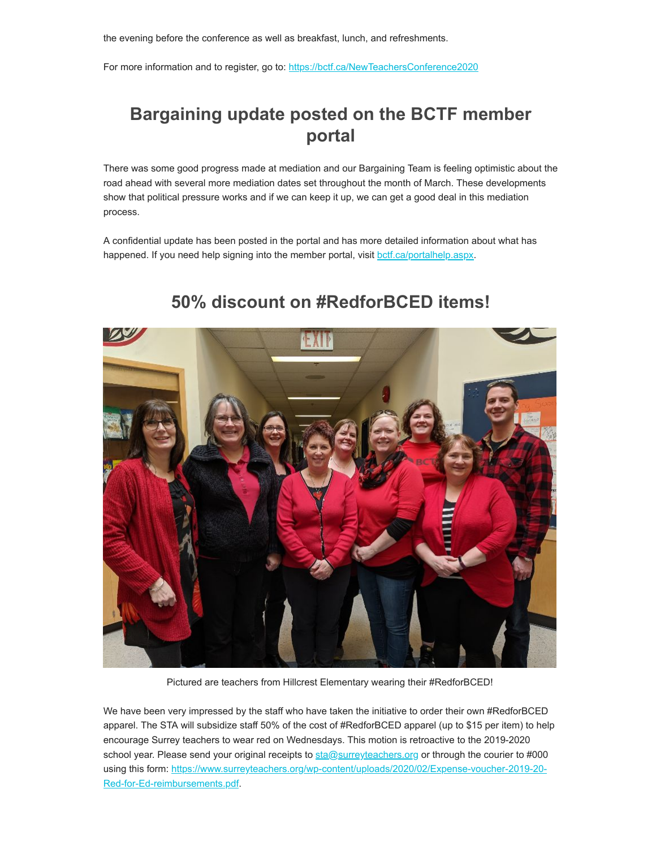the evening before the conference as well as breakfast, lunch, and refreshments.

For more information and to register, go to: [https://bctf.ca/NewTeachersConference2020](https://surreyteachers.us20.list-manage.com/track/click?u=37ec644ae87e34b54b3912660&id=4689e69b77&e=7261da6bdb)

## **Bargaining update posted on the BCTF member portal**

There was some good progress made at mediation and our Bargaining Team is feeling optimistic about the road ahead with several more mediation dates set throughout the month of March. These developments show that political pressure works and if we can keep it up, we can get a good deal in this mediation process.

A confidential update has been posted in the portal and has more detailed information about what has happened. If you need help signing into the member portal, visit [bctf.ca/portalhelp.aspx](https://surreyteachers.us20.list-manage.com/track/click?u=37ec644ae87e34b54b3912660&id=76442dbfdd&e=7261da6bdb).



#### **50% discount on #RedforBCED items!**

Pictured are teachers from Hillcrest Elementary wearing their #RedforBCED!

We have been very impressed by the staff who have taken the initiative to order their own #RedforBCED apparel. The STA will subsidize staff 50% of the cost of #RedforBCED apparel (up to \$15 per item) to help encourage Surrey teachers to wear red on Wednesdays. This motion is retroactive to the 2019-2020 school year. Please send your original receipts to [sta@surreyteachers.org](mailto:sta@surreyteachers.org) or through the courier to #000 [using this form: https://www.surreyteachers.org/wp-content/uploads/2020/02/Expense-voucher-2019-20-](https://surreyteachers.us20.list-manage.com/track/click?u=37ec644ae87e34b54b3912660&id=ed3723862c&e=7261da6bdb) Red-for-Ed-reimbursements.pdf.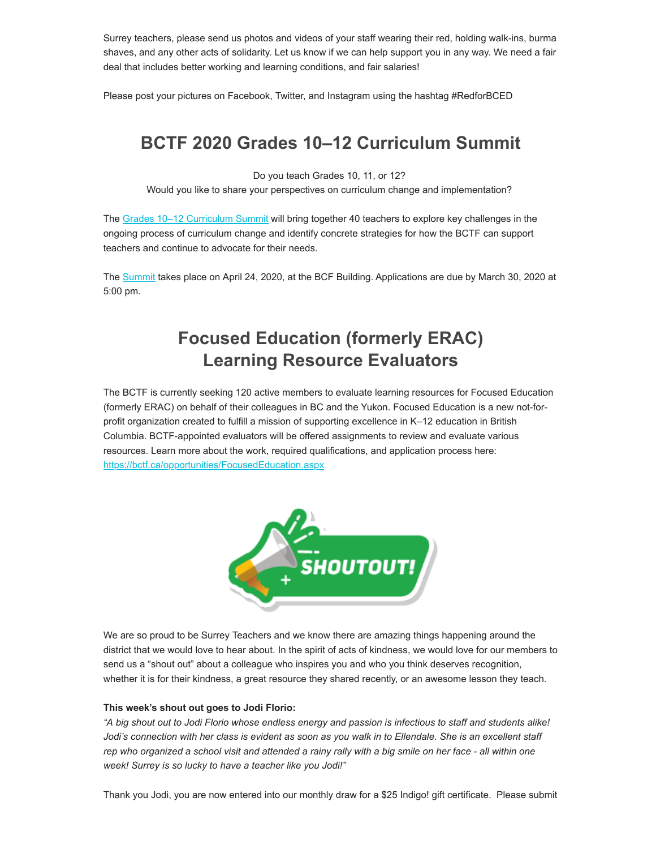Surrey teachers, please send us photos and videos of your staff wearing their red, holding walk-ins, burma shaves, and any other acts of solidarity. Let us know if we can help support you in any way. We need a fair deal that includes better working and learning conditions, and fair salaries!

Please post your pictures on Facebook, Twitter, and Instagram using the hashtag #RedforBCED

## **BCTF 2020 Grades 10–12 Curriculum Summit**

Do you teach Grades 10, 11, or 12?

Would you like to share your perspectives on curriculum change and implementation?

The [Grades 10–12 Curriculum Summit](https://surreyteachers.us20.list-manage.com/track/click?u=37ec644ae87e34b54b3912660&id=475c3641e7&e=7261da6bdb) will bring together 40 teachers to explore key challenges in the ongoing process of curriculum change and identify concrete strategies for how the BCTF can support teachers and continue to advocate for their needs.

The [Summit](https://surreyteachers.us20.list-manage.com/track/click?u=37ec644ae87e34b54b3912660&id=3f183d706b&e=7261da6bdb) takes place on April 24, 2020, at the BCF Building. Applications are due by March 30, 2020 at 5:00 pm.

## **Focused Education (formerly ERAC) Learning Resource Evaluators**

The BCTF is currently seeking 120 active members to evaluate learning resources for Focused Education (formerly ERAC) on behalf of their colleagues in BC and the Yukon. Focused Education is a new not-forprofit organization created to fulfill a mission of supporting excellence in K–12 education in British Columbia. BCTF-appointed evaluators will be offered assignments to review and evaluate various resources. Learn more about the work, required qualifications, and application process here: [https://bctf.ca/opportunities/FocusedEducation.aspx](https://surreyteachers.us20.list-manage.com/track/click?u=37ec644ae87e34b54b3912660&id=d8faabb088&e=7261da6bdb)



We are so proud to be Surrey Teachers and we know there are amazing things happening around the district that we would love to hear about. In the spirit of acts of kindness, we would love for our members to send us a "shout out" about a colleague who inspires you and who you think deserves recognition, whether it is for their kindness, a great resource they shared recently, or an awesome lesson they teach.

#### **This week's shout out goes to Jodi Florio:**

*"A big shout out to Jodi Florio whose endless energy and passion is infectious to staff and students alike! Jodi's connection with her class is evident as soon as you walk in to Ellendale. She is an excellent staff rep who organized a school visit and attended a rainy rally with a big smile on her face - all within one week! Surrey is so lucky to have a teacher like you Jodi!"*

Thank you Jodi, you are now entered into our monthly draw for a \$25 Indigo! gift certificate. Please submit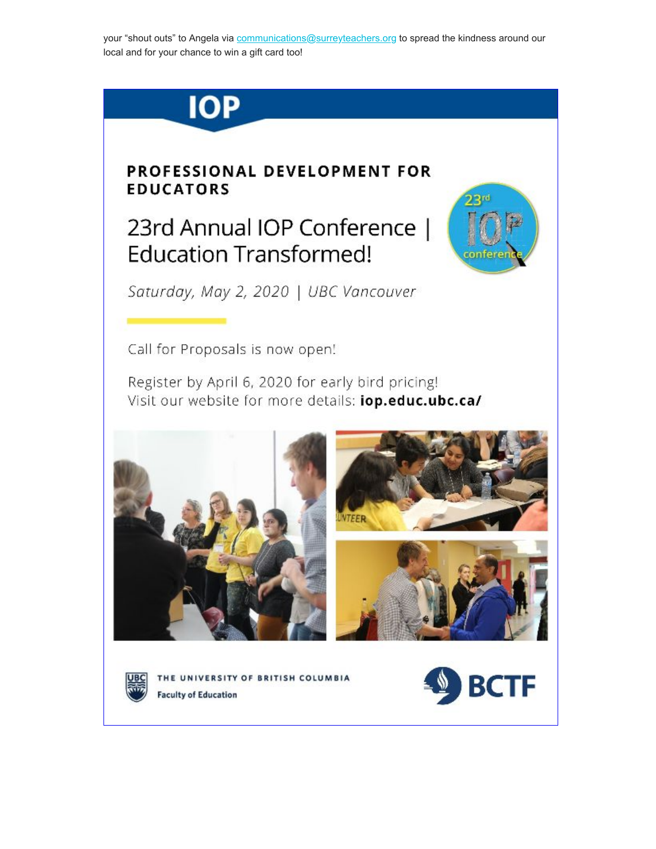your "shout outs" to Angela via communications@surreyteachers.org to spread the kindness around our local and for your chance to win a gift card too!



#### **PROFESSIONAL DEVELOPMENT FOR EDUCATORS**

# 23rd Annual IOP Conference | **Education Transformed!**



Saturday, May 2, 2020 | UBC Vancouver

Call for Proposals is now open!

Register by April 6, 2020 for early bird pricing! Visit our website for more details: **jop.educ.ubc.ca/** 









THE UNIVERSITY OF BRITISH COLUMBIA **Faculty of Education**